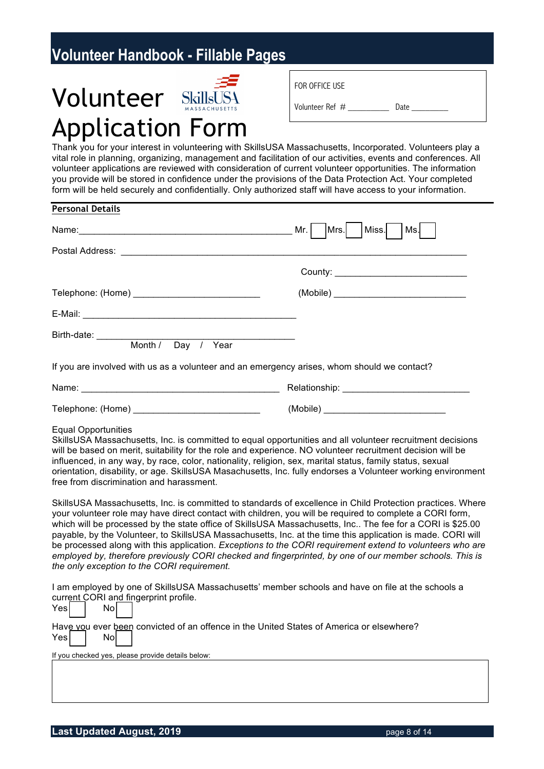# **Volunteer SkillsUS4** Application Form

| FOR OFFICE USE  |      |
|-----------------|------|
| Volunteer Ref # | Date |

Thank you for your interest in volunteering with SkillsUSA Massachusetts, Incorporated. Volunteers play a vital role in planning, organizing, management and facilitation of our activities, events and conferences. All volunteer applications are reviewed with consideration of current volunteer opportunities. The information you provide will be stored in confidence under the provisions of the Data Protection Act. Your completed form will be held securely and confidentially. Only authorized staff will have access to your information.

| <b>Personal Details</b>                                                                                                                                                                                                                                                                                                                                                                                                                                                                                                                                                                                                                                                                                                                                                                                                                                                                                                                                                                                                                                                                                                                                                                                                                                                                                                                                                                                                                                                                                                                                |                      |
|--------------------------------------------------------------------------------------------------------------------------------------------------------------------------------------------------------------------------------------------------------------------------------------------------------------------------------------------------------------------------------------------------------------------------------------------------------------------------------------------------------------------------------------------------------------------------------------------------------------------------------------------------------------------------------------------------------------------------------------------------------------------------------------------------------------------------------------------------------------------------------------------------------------------------------------------------------------------------------------------------------------------------------------------------------------------------------------------------------------------------------------------------------------------------------------------------------------------------------------------------------------------------------------------------------------------------------------------------------------------------------------------------------------------------------------------------------------------------------------------------------------------------------------------------------|----------------------|
| Name: Mr.                                                                                                                                                                                                                                                                                                                                                                                                                                                                                                                                                                                                                                                                                                                                                                                                                                                                                                                                                                                                                                                                                                                                                                                                                                                                                                                                                                                                                                                                                                                                              | Miss.<br>Mrs.<br>Ms. |
|                                                                                                                                                                                                                                                                                                                                                                                                                                                                                                                                                                                                                                                                                                                                                                                                                                                                                                                                                                                                                                                                                                                                                                                                                                                                                                                                                                                                                                                                                                                                                        |                      |
|                                                                                                                                                                                                                                                                                                                                                                                                                                                                                                                                                                                                                                                                                                                                                                                                                                                                                                                                                                                                                                                                                                                                                                                                                                                                                                                                                                                                                                                                                                                                                        |                      |
|                                                                                                                                                                                                                                                                                                                                                                                                                                                                                                                                                                                                                                                                                                                                                                                                                                                                                                                                                                                                                                                                                                                                                                                                                                                                                                                                                                                                                                                                                                                                                        |                      |
|                                                                                                                                                                                                                                                                                                                                                                                                                                                                                                                                                                                                                                                                                                                                                                                                                                                                                                                                                                                                                                                                                                                                                                                                                                                                                                                                                                                                                                                                                                                                                        |                      |
| Birth-date: Month / Day / Year                                                                                                                                                                                                                                                                                                                                                                                                                                                                                                                                                                                                                                                                                                                                                                                                                                                                                                                                                                                                                                                                                                                                                                                                                                                                                                                                                                                                                                                                                                                         |                      |
| If you are involved with us as a volunteer and an emergency arises, whom should we contact?                                                                                                                                                                                                                                                                                                                                                                                                                                                                                                                                                                                                                                                                                                                                                                                                                                                                                                                                                                                                                                                                                                                                                                                                                                                                                                                                                                                                                                                            |                      |
|                                                                                                                                                                                                                                                                                                                                                                                                                                                                                                                                                                                                                                                                                                                                                                                                                                                                                                                                                                                                                                                                                                                                                                                                                                                                                                                                                                                                                                                                                                                                                        |                      |
| Telephone: (Home) _______________________________                                                                                                                                                                                                                                                                                                                                                                                                                                                                                                                                                                                                                                                                                                                                                                                                                                                                                                                                                                                                                                                                                                                                                                                                                                                                                                                                                                                                                                                                                                      |                      |
| SkillsUSA Massachusetts, Inc. is committed to equal opportunities and all volunteer recruitment decisions<br>will be based on merit, suitability for the role and experience. NO volunteer recruitment decision will be<br>influenced, in any way, by race, color, nationality, religion, sex, marital status, family status, sexual<br>orientation, disability, or age. SkillsUSA Masachusetts, Inc. fully endorses a Volunteer working environment<br>free from discrimination and harassment.<br>SkillsUSA Massachusetts, Inc. is committed to standards of excellence in Child Protection practices. Where<br>your volunteer role may have direct contact with children, you will be required to complete a CORI form,<br>which will be processed by the state office of SkillsUSA Massachusetts, Inc The fee for a CORI is \$25.00<br>payable, by the Volunteer, to SkillsUSA Massachusetts, Inc. at the time this application is made. CORI will<br>be processed along with this application. Exceptions to the CORI requirement extend to volunteers who are<br>employed by, therefore previously CORI checked and fingerprinted, by one of our member schools. This is<br>the only exception to the CORI requirement.<br>I am employed by one of SkillsUSA Massachusetts' member schools and have on file at the schools a<br>current CORI and fingerprint profile.<br>Yes<br>No<br>Have vou ever been convicted of an offence in the United States of America or elsewhere?<br>No<br>Yes<br>If you checked yes, please provide details below: |                      |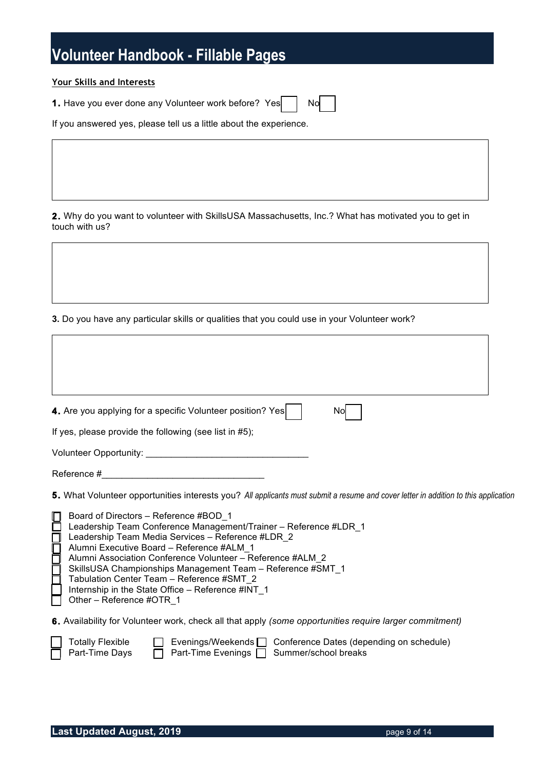#### **Your Skills and Interests**

**1.** Have you ever done any Volunteer work before? Yes | No

If you answered yes, please tell us a little about the experience.

**2.** Why do you want to volunteer with SkillsUSA Massachusetts, Inc.? What has motivated you to get in touch with us?

**3.** Do you have any particular skills or qualities that you could use in your Volunteer work?

| 4. Are you applying for a specific Volunteer position? Yes<br>No                                                                                                                                                                                                                                                                                                                                                                                                                                                                                                                                                            |
|-----------------------------------------------------------------------------------------------------------------------------------------------------------------------------------------------------------------------------------------------------------------------------------------------------------------------------------------------------------------------------------------------------------------------------------------------------------------------------------------------------------------------------------------------------------------------------------------------------------------------------|
| If yes, please provide the following (see list in #5);                                                                                                                                                                                                                                                                                                                                                                                                                                                                                                                                                                      |
| Volunteer Opportunity: Volunteer Opportunity:                                                                                                                                                                                                                                                                                                                                                                                                                                                                                                                                                                               |
| Reference #<br><u> 1980 - Jan Stein Berlin, amerikan berlin besteht als der stadt andere som beste andere som beste andere som </u>                                                                                                                                                                                                                                                                                                                                                                                                                                                                                         |
| 5. What Volunteer opportunities interests you? All applicants must submit a resume and cover letter in addition to this application<br>Board of Directors - Reference #BOD 1<br>Leadership Team Conference Management/Trainer - Reference #LDR_1<br>Leadership Team Media Services - Reference #LDR 2<br><b>HUUU</b><br>Alumni Executive Board - Reference #ALM 1<br>Alumni Association Conference Volunteer - Reference #ALM 2<br>SkillsUSA Championships Management Team - Reference #SMT_1<br>Tabulation Center Team - Reference #SMT 2<br>Internship in the State Office - Reference #INT 1<br>Other - Reference #OTR_1 |
| <b>6.</b> Availability for Volunteer work, check all that apply (some opportunities require larger commitment)<br><b>Totally Flexible</b><br>Evenings/Weekends $\Box$ Conference Dates (depending on schedule)<br>Part-Time Days<br>Part-Time Evenings □ Summer/school breaks                                                                                                                                                                                                                                                                                                                                               |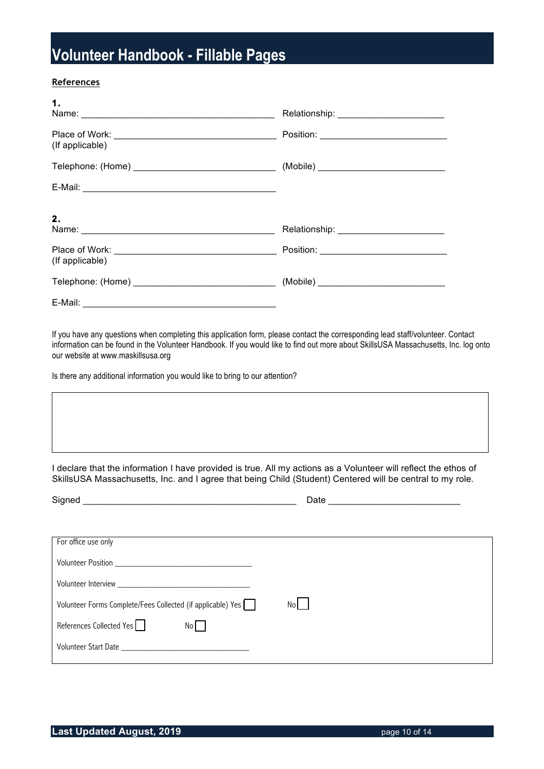#### **References**

E-Mail: \_\_\_\_\_

| 1.                                                                                                                                                                                                                                   |                                          |
|--------------------------------------------------------------------------------------------------------------------------------------------------------------------------------------------------------------------------------------|------------------------------------------|
| (If applicable)                                                                                                                                                                                                                      |                                          |
|                                                                                                                                                                                                                                      |                                          |
|                                                                                                                                                                                                                                      |                                          |
| 2.<br>Name: 2008 2009 2010 2021 2022 2023 2024 2022 2022 2023 2024 2022 2023 2024 2022 2023 2024 2022 2023 2024 2022 2023 2024 2022 2023 2024 2025 2026 2027 2028 2021 2022 2023 2024 2025 2027 2028 2024 2025 2027 2028 2024 2025 2 | Relationship: __________________________ |
| (If applicable)                                                                                                                                                                                                                      |                                          |
|                                                                                                                                                                                                                                      |                                          |

If you have any questions when completing this application form, please contact the corresponding lead staff/volunteer. Contact information can be found in the Volunteer Handbook. If you would like to find out more about SkillsUSA Massachusetts, Inc. log onto our website at www.maskillsusa.org

Is there any additional information you would like to bring to our attention?

I declare that the information I have provided is true. All my actions as a Volunteer will reflect the ethos of SkillsUSA Massachusetts, Inc. and I agree that being Child (Student) Centered will be central to my role.

| Signed<br><u> 1980 - Andrea Andrew Amerikaanse kommunister (</u>                                              | Date |
|---------------------------------------------------------------------------------------------------------------|------|
|                                                                                                               |      |
| For office use only                                                                                           |      |
|                                                                                                               |      |
| Volunteer Interview Note and The Communication of the Communication of the Communication of the Communication |      |
| Volunteer Forms Complete/Fees Collected (if applicable) Yes    <br>Nol                                        |      |
| References Collected Yes<br>No                                                                                |      |
| Volunteer Start Date                                                                                          |      |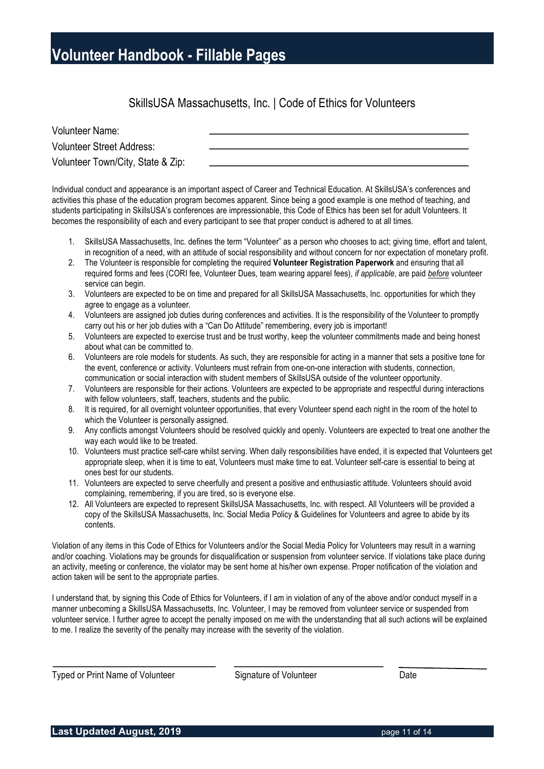#### SkillsUSA Massachusetts, Inc. | Code of Ethics for Volunteers

| <b>Volunteer Name:</b>            |  |
|-----------------------------------|--|
| <b>Volunteer Street Address:</b>  |  |
| Volunteer Town/City, State & Zip: |  |

Individual conduct and appearance is an important aspect of Career and Technical Education. At SkillsUSA's conferences and activities this phase of the education program becomes apparent. Since being a good example is one method of teaching, and students participating in SkillsUSA's conferences are impressionable, this Code of Ethics has been set for adult Volunteers. It becomes the responsibility of each and every participant to see that proper conduct is adhered to at all times.

- 1. SkillsUSA Massachusetts, Inc. defines the term "Volunteer" as a person who chooses to act; giving time, effort and talent, in recognition of a need, with an attitude of social responsibility and without concern for nor expectation of monetary profit.
- 2. The Volunteer is responsible for completing the required **Volunteer Registration Paperwork** and ensuring that all required forms and fees (CORI fee, Volunteer Dues, team wearing apparel fees), *if applicable*, are paid *before* volunteer service can begin.
- 3. Volunteers are expected to be on time and prepared for all SkillsUSA Massachusetts, Inc. opportunities for which they agree to engage as a volunteer.
- 4. Volunteers are assigned job duties during conferences and activities. It is the responsibility of the Volunteer to promptly carry out his or her job duties with a "Can Do Attitude" remembering, every job is important!
- 5. Volunteers are expected to exercise trust and be trust worthy, keep the volunteer commitments made and being honest about what can be committed to.
- 6. Volunteers are role models for students. As such, they are responsible for acting in a manner that sets a positive tone for the event, conference or activity. Volunteers must refrain from one-on-one interaction with students, connection, communication or social interaction with student members of SkillsUSA outside of the volunteer opportunity.
- 7. Volunteers are responsible for their actions. Volunteers are expected to be appropriate and respectful during interactions with fellow volunteers, staff, teachers, students and the public.
- 8. It is required, for all overnight volunteer opportunities, that every Volunteer spend each night in the room of the hotel to which the Volunteer is personally assigned.
- 9. Any conflicts amongst Volunteers should be resolved quickly and openly. Volunteers are expected to treat one another the way each would like to be treated.
- 10. Volunteers must practice self-care whilst serving. When daily responsibilities have ended, it is expected that Volunteers get appropriate sleep, when it is time to eat, Volunteers must make time to eat. Volunteer self-care is essential to being at ones best for our students.
- 11. Volunteers are expected to serve cheerfully and present a positive and enthusiastic attitude. Volunteers should avoid complaining, remembering, if you are tired, so is everyone else.
- 12. All Volunteers are expected to represent SkillsUSA Massachusetts, Inc. with respect. All Volunteers will be provided a copy of the SkillsUSA Massachusetts, Inc. Social Media Policy & Guidelines for Volunteers and agree to abide by its contents.

Violation of any items in this Code of Ethics for Volunteers and/or the Social Media Policy for Volunteers may result in a warning and/or coaching. Violations may be grounds for disqualification or suspension from volunteer service. If violations take place during an activity, meeting or conference, the violator may be sent home at his/her own expense. Proper notification of the violation and action taken will be sent to the appropriate parties.

I understand that, by signing this Code of Ethics for Volunteers, if I am in violation of any of the above and/or conduct myself in a manner unbecoming a SkillsUSA Massachusetts, Inc. Volunteer, I may be removed from volunteer service or suspended from volunteer service. I further agree to accept the penalty imposed on me with the understanding that all such actions will be explained to me. I realize the severity of the penalty may increase with the severity of the violation.

Typed or Print Name of Volunteer Signature of Volunteer Date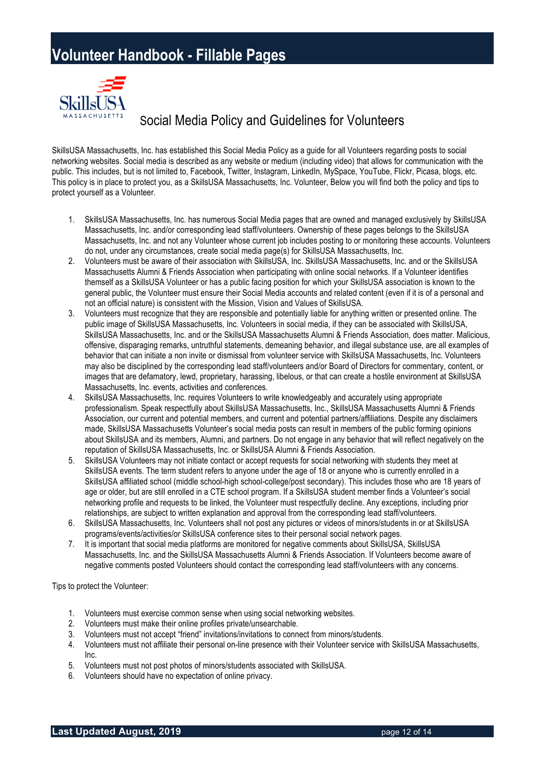

### Social Media Policy and Guidelines for Volunteers

SkillsUSA Massachusetts, Inc. has established this Social Media Policy as a guide for all Volunteers regarding posts to social networking websites. Social media is described as any website or medium (including video) that allows for communication with the public. This includes, but is not limited to, Facebook, Twitter, Instagram, LinkedIn, MySpace, YouTube, Flickr, Picasa, blogs, etc. This policy is in place to protect you, as a SkillsUSA Massachusetts, Inc. Volunteer, Below you will find both the policy and tips to protect yourself as a Volunteer.

- 1. SkillsUSA Massachusetts, Inc. has numerous Social Media pages that are owned and managed exclusively by SkillsUSA Massachusetts, Inc. and/or corresponding lead staff/volunteers. Ownership of these pages belongs to the SkillsUSA Massachusetts, Inc. and not any Volunteer whose current job includes posting to or monitoring these accounts. Volunteers do not, under any circumstances, create social media page(s) for SkillsUSA Massachusetts, Inc.
- 2. Volunteers must be aware of their association with SkillsUSA, Inc. SkillsUSA Massachusetts, Inc. and or the SkillsUSA Massachusetts Alumni & Friends Association when participating with online social networks. If a Volunteer identifies themself as a SkillsUSA Volunteer or has a public facing position for which your SkillsUSA association is known to the general public, the Volunteer must ensure their Social Media accounts and related content (even if it is of a personal and not an official nature) is consistent with the Mission, Vision and Values of SkillsUSA.
- 3. Volunteers must recognize that they are responsible and potentially liable for anything written or presented online. The public image of SkillsUSA Massachusetts, Inc. Volunteers in social media, if they can be associated with SkillsUSA, SkillsUSA Massachusetts, Inc. and or the SkillsUSA Massachusetts Alumni & Friends Association, does matter. Malicious, offensive, disparaging remarks, untruthful statements, demeaning behavior, and illegal substance use, are all examples of behavior that can initiate a non invite or dismissal from volunteer service with SkillsUSA Massachusetts, Inc. Volunteers may also be disciplined by the corresponding lead staff/volunteers and/or Board of Directors for commentary, content, or images that are defamatory, lewd, proprietary, harassing, libelous, or that can create a hostile environment at SkillsUSA Massachusetts, Inc. events, activities and conferences.
- 4. SkillsUSA Massachusetts, Inc. requires Volunteers to write knowledgeably and accurately using appropriate professionalism. Speak respectfully about SkillsUSA Massachusetts, Inc., SkillsUSA Massachusetts Alumni & Friends Association, our current and potential members, and current and potential partners/affiliations. Despite any disclaimers made, SkillsUSA Massachusetts Volunteer's social media posts can result in members of the public forming opinions about SkillsUSA and its members, Alumni, and partners. Do not engage in any behavior that will reflect negatively on the reputation of SkillsUSA Massachusetts, Inc. or SkillsUSA Alumni & Friends Association.
- 5. SkillsUSA Volunteers may not initiate contact or accept requests for social networking with students they meet at SkillsUSA events. The term student refers to anyone under the age of 18 or anyone who is currently enrolled in a SkillsUSA affiliated school (middle school-high school-college/post secondary). This includes those who are 18 years of age or older, but are still enrolled in a CTE school program. If a SkillsUSA student member finds a Volunteer's social networking profile and requests to be linked, the Volunteer must respectfully decline. Any exceptions, including prior relationships, are subject to written explanation and approval from the corresponding lead staff/volunteers.
- 6. SkillsUSA Massachusetts, Inc. Volunteers shall not post any pictures or videos of minors/students in or at SkillsUSA programs/events/activities/or SkillsUSA conference sites to their personal social network pages.
- 7. It is important that social media platforms are monitored for negative comments about SkillsUSA, SkillsUSA Massachusetts, Inc. and the SkillsUSA Massachusetts Alumni & Friends Association. If Volunteers become aware of negative comments posted Volunteers should contact the corresponding lead staff/volunteers with any concerns.

Tips to protect the Volunteer:

- 1. Volunteers must exercise common sense when using social networking websites.
- 2. Volunteers must make their online profiles private/unsearchable.
- 3. Volunteers must not accept "friend" invitations/invitations to connect from minors/students.
- 4. Volunteers must not affiliate their personal on-line presence with their Volunteer service with SkillsUSA Massachusetts, Inc.
- 5. Volunteers must not post photos of minors/students associated with SkillsUSA.
- 6. Volunteers should have no expectation of online privacy.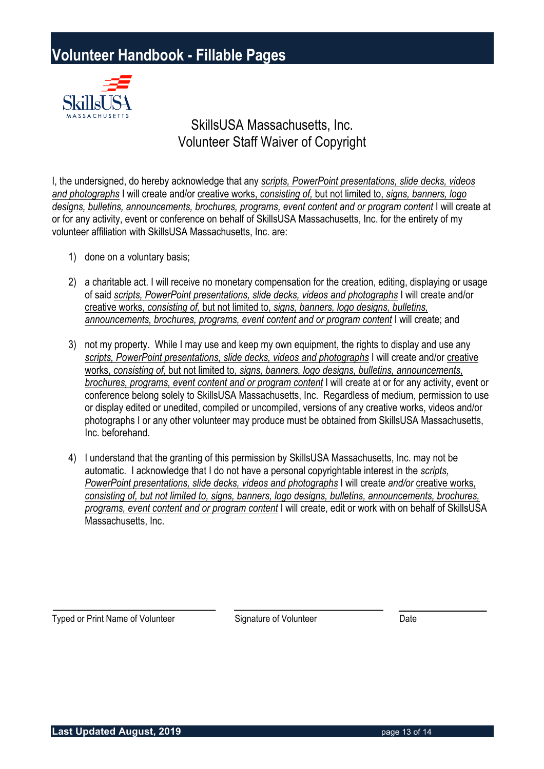

### SkillsUSA Massachusetts, Inc. Volunteer Staff Waiver of Copyright

I, the undersigned, do hereby acknowledge that any *scripts, PowerPoint presentations, slide decks, videos and photographs* I will create and/or creative works, *consisting of,* but not limited to, *signs, banners, logo*  designs, bulletins, announcements, brochures, programs, event content and or program content I will create at or for any activity, event or conference on behalf of SkillsUSA Massachusetts, Inc. for the entirety of my volunteer affiliation with SkillsUSA Massachusetts, Inc. are:

- 1) done on a voluntary basis;
- 2) a charitable act. I will receive no monetary compensation for the creation, editing, displaying or usage of said *scripts, PowerPoint presentations, slide decks, videos and photographs* I will create and/or creative works, *consisting of,* but not limited to, *signs, banners, logo designs, bulletins,* announcements, brochures, programs, event content and or program content I will create; and
- 3) not my property. While I may use and keep my own equipment, the rights to display and use any *scripts, PowerPoint presentations, slide decks, videos and photographs* I will create and/or creative works, *consisting of,* but not limited to, *signs, banners, logo designs, bulletins, announcements, brochures, programs, event content and or program content* I will create at or for any activity, event or conference belong solely to SkillsUSA Massachusetts, Inc. Regardless of medium, permission to use or display edited or unedited, compiled or uncompiled, versions of any creative works, videos and/or photographs I or any other volunteer may produce must be obtained from SkillsUSA Massachusetts, Inc. beforehand.
- 4) I understand that the granting of this permission by SkillsUSA Massachusetts, Inc. may not be automatic. I acknowledge that I do not have a personal copyrightable interest in the *scripts, PowerPoint presentations, slide decks, videos and photographs* I will create *and/or* creative works*, consisting of, but not limited to, signs, banners, logo designs, bulletins, announcements, brochures, programs, event content and or program content* I will create, edit or work with on behalf of SkillsUSA Massachusetts, Inc.

Typed or Print Name of Volunteer Signature of Volunteer Date